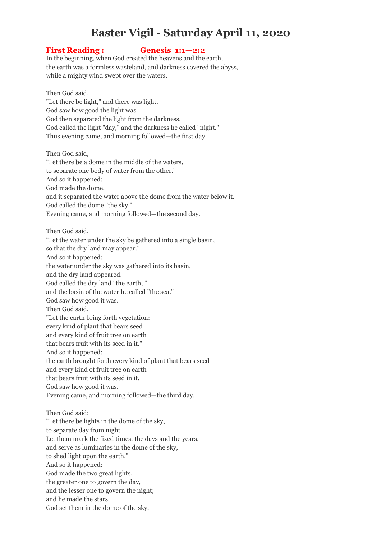# **Easter Vigil - Saturday April 11, 2020**

### **First Reading : Genesis 1:1—2:2**

In the beginning, when God created the heavens and the earth, the earth was a formless wasteland, and darkness covered the abyss, while a mighty wind swept over the waters.

Then God said, "Let there be light," and there was light. God saw how good the light was. God then separated the light from the darkness. God called the light "day," and the darkness he called "night." Thus evening came, and morning followed—the first day.

Then God said, "Let there be a dome in the middle of the waters, to separate one body of water from the other." And so it happened: God made the dome, and it separated the water above the dome from the water below it. God called the dome "the sky." Evening came, and morning followed—the second day.

Then God said,

"Let the water under the sky be gathered into a single basin, so that the dry land may appear." And so it happened: the water under the sky was gathered into its basin, and the dry land appeared. God called the dry land "the earth, " and the basin of the water he called "the sea." God saw how good it was. Then God said, "Let the earth bring forth vegetation: every kind of plant that bears seed and every kind of fruit tree on earth that bears fruit with its seed in it." And so it happened: the earth brought forth every kind of plant that bears seed and every kind of fruit tree on earth that bears fruit with its seed in it. God saw how good it was. Evening came, and morning followed—the third day. Then God said: "Let there be lights in the dome of the sky, to separate day from night.

Let them mark the fixed times, the days and the years, and serve as luminaries in the dome of the sky, to shed light upon the earth." And so it happened: God made the two great lights, the greater one to govern the day, and the lesser one to govern the night; and he made the stars. God set them in the dome of the sky,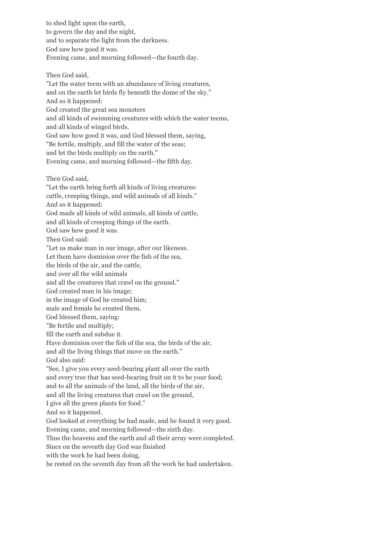to shed light upon the earth, to govern the day and the night, and to separate the light from the darkness. God saw how good it was. Evening came, and morning followed—the fourth day.

Then God said,

"Let the water teem with an abundance of living creatures, and on the earth let birds fly beneath the dome of the sky." And so it happened: God created the great sea monsters and all kinds of swimming creatures with which the water teems, and all kinds of winged birds. God saw how good it was, and God blessed them, saying, "Be fertile, multiply, and fill the water of the seas; and let the birds multiply on the earth." Evening came, and morning followed—the fifth day. Then God said, "Let the earth bring forth all kinds of living creatures: cattle, creeping things, and wild animals of all kinds." And so it happened: God made all kinds of wild animals, all kinds of cattle, and all kinds of creeping things of the earth. God saw how good it was. Then God said: "Let us make man in our image, after our likeness. Let them have dominion over the fish of the sea, the birds of the air, and the cattle, and over all the wild animals and all the creatures that crawl on the ground." God created man in his image; in the image of God he created him; male and female he created them. God blessed them, saying: "Be fertile and multiply; fill the earth and subdue it. Have dominion over the fish of the sea, the birds of the air, and all the living things that move on the earth." God also said: "See, I give you every seed-bearing plant all over the earth and every tree that has seed-bearing fruit on it to be your food; and to all the animals of the land, all the birds of the air, and all the living creatures that crawl on the ground, I give all the green plants for food." And so it happened. God looked at everything he had made, and he found it very good. Evening came, and morning followed—the sixth day. Thus the heavens and the earth and all their array were completed. Since on the seventh day God was finished with the work he had been doing,

he rested on the seventh day from all the work he had undertaken.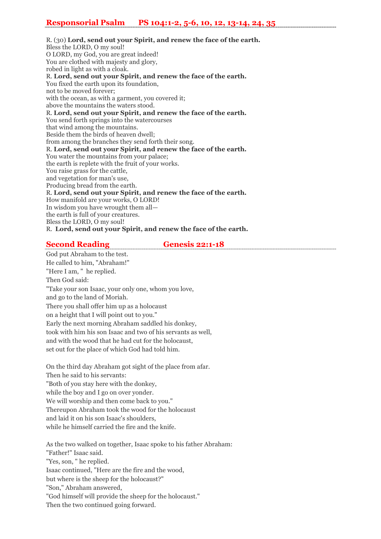R. (30) **Lord, send out your Spirit, and renew the face of the earth.** Bless the LORD, O my soul! O LORD, my God, you are great indeed! You are clothed with majesty and glory, robed in light as with a cloak. R. **Lord, send out your Spirit, and renew the face of the earth.** You fixed the earth upon its foundation, not to be moved forever; with the ocean, as with a garment, you covered it; above the mountains the waters stood. R. **Lord, send out your Spirit, and renew the face of the earth.** You send forth springs into the watercourses that wind among the mountains. Beside them the birds of heaven dwell; from among the branches they send forth their song. R. **Lord, send out your Spirit, and renew the face of the earth.** You water the mountains from your palace; the earth is replete with the fruit of your works. You raise grass for the cattle, and vegetation for man's use, Producing bread from the earth. R. **Lord, send out your Spirit, and renew the face of the earth.** How manifold are your works, O LORD! In wisdom you have wrought them all the earth is full of your creatures. Bless the LORD, O my soul! R. **Lord, send out your Spirit, and renew the face of the earth.**

### **Second Reading Genesis 22:1-18**

God put Abraham to the test. He called to him, "Abraham!" "Here I am. " he replied. Then God said: "Take your son Isaac, your only one, whom you love, and go to the land of Moriah. There you shall offer him up as a holocaust on a height that I will point out to you." Early the next morning Abraham saddled his donkey, took with him his son Isaac and two of his servants as well, and with the wood that he had cut for the holocaust, set out for the place of which God had told him.

On the third day Abraham got sight of the place from afar. Then he said to his servants: "Both of you stay here with the donkey, while the boy and I go on over yonder. We will worship and then come back to you." Thereupon Abraham took the wood for the holocaust and laid it on his son Isaac's shoulders, while he himself carried the fire and the knife.

As the two walked on together, Isaac spoke to his father Abraham: "Father!" Isaac said. "Yes, son, " he replied. Isaac continued, "Here are the fire and the wood, but where is the sheep for the holocaust?" "Son," Abraham answered, "God himself will provide the sheep for the holocaust." Then the two continued going forward.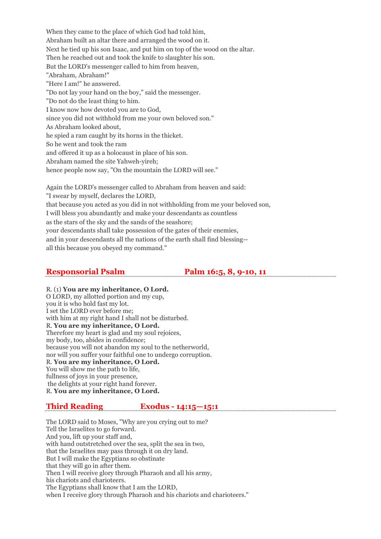When they came to the place of which God had told him, Abraham built an altar there and arranged the wood on it. Next he tied up his son Isaac, and put him on top of the wood on the altar. Then he reached out and took the knife to slaughter his son. But the LORD's messenger called to him from heaven, "Abraham, Abraham!" "Here I am!" he answered. "Do not lay your hand on the boy," said the messenger. "Do not do the least thing to him. I know now how devoted you are to God, since you did not withhold from me your own beloved son." As Abraham looked about, he spied a ram caught by its horns in the thicket. So he went and took the ram and offered it up as a holocaust in place of his son. Abraham named the site Yahweh-yireh; hence people now say, "On the mountain the LORD will see."

Again the LORD's messenger called to Abraham from heaven and said: "I swear by myself, declares the LORD, that because you acted as you did in not withholding from me your beloved son, I will bless you abundantly and make your descendants as countless as the stars of the sky and the sands of the seashore; your descendants shall take possession of the gates of their enemies, and in your descendants all the nations of the earth shall find blessing- all this because you obeyed my command."

### **Responsorial Psalm Palm 16:5, 8, 9-10, 11**

## R. (1) **You are my inheritance, O Lord.**

O LORD, my allotted portion and my cup, you it is who hold fast my lot. I set the LORD ever before me; with him at my right hand I shall not be disturbed. R. **You are my inheritance, O Lord.** Therefore my heart is glad and my soul rejoices, my body, too, abides in confidence; because you will not abandon my soul to the netherworld, nor will you suffer your faithful one to undergo corruption. R. **You are my inheritance, O Lord.** You will show me the path to life, fullness of joys in your presence, the delights at your right hand forever. R. **You are my inheritance, O Lord.**

### **Third Reading Exodus - 14:15—15:1**

The LORD said to Moses, "Why are you crying out to me? Tell the Israelites to go forward. And you, lift up your staff and, with hand outstretched over the sea, split the sea in two, that the Israelites may pass through it on dry land. But I will make the Egyptians so obstinate that they will go in after them. Then I will receive glory through Pharaoh and all his army, his chariots and charioteers. The Egyptians shall know that I am the LORD, when I receive glory through Pharaoh and his chariots and charioteers."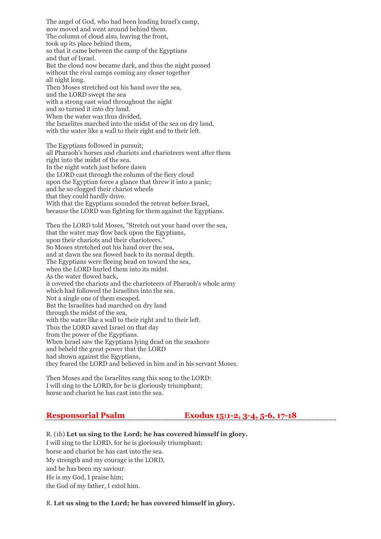The angel of God, who had been leading Israel's camp, now moved and went around behind them. The column of cloud also, leaving the front, took up its place behind them, so that it came between the camp of the Egyptians and that of Israel. But the cloud now became dark, and thus the night passed without the rival camps coming any closer together all night long. Then Moses stretched out his hand over the sea, and the LORD swept the sea with a strong east wind throughout the night and so turned it into dry land. When the water was thus divided, the Israelites marched into the midst of the sea on dry land, with the water like a wall to their right and to their left. The Egyptians followed in pursuit; all Pharaoh's horses and chariots and charioteers went after them right into the midst of the sea. In the night watch just before dawn the LORD cast through the column of the fiery cloud upon the Egyptian force a glance that threw it into a panic; and he so clogged their chariot wheels that they could hardly drive. With that the Egyptians sounded the retreat before Israel, because the LORD was fighting for them against the Egyptians. Then the LORD told Moses, "Stretch out your hand over the sea, that the water may flow back upon the Egyptians, upon their chariots and their charioteers." So Moses stretched out his hand over the sea,

and at dawn the sea flowed back to its normal depth. The Egyptians were fleeing head on toward the sea, when the LORD hurled them into its midst. As the water flowed back, it covered the chariots and the charioteers of Pharaoh's whole army which had followed the Israelites into the sea. Not a single one of them escaped. But the Israelites had marched on dry land through the midst of the sea, with the water like a wall to their right and to their left. Thus the LORD saved Israel on that day from the power of the Egyptians. When Israel saw the Egyptians lying dead on the seashore and beheld the great power that the LORD had shown against the Egyptians, they feared the LORD and believed in him and in his servant Moses.

Then Moses and the Israelites sang this song to the LORD: I will sing to the LORD, for he is gloriously triumphant; horse and chariot he has cast into the sea.

### **Responsorial Psalm Exodus 15:1-2, 3-4, 5-6, 17-18**

#### R. (1b) **Let us sing to the Lord; he has covered himself in glory.**

I will sing to the LORD, for he is gloriously triumphant; horse and chariot he has cast into the sea. My strength and my courage is the LORD, and he has been my saviour. He is my God, I praise him; the God of my father, I extol him.

#### R. **Let us sing to the Lord; he has covered himself in glory.**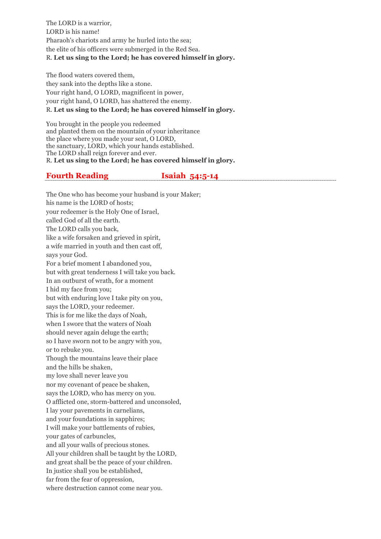The LORD is a warrior, LORD is his name! Pharaoh's chariots and army he hurled into the sea; the elite of his officers were submerged in the Red Sea. R. **Let us sing to the Lord; he has covered himself in glory.** 

The flood waters covered them, they sank into the depths like a stone. Your right hand, O LORD, magnificent in power, your right hand, O LORD, has shattered the enemy. R. **Let us sing to the Lord; he has covered himself in glory.** 

You brought in the people you redeemed and planted them on the mountain of your inheritance the place where you made your seat, O LORD, the sanctuary, LORD, which your hands established. The LORD shall reign forever and ever. R. **Let us sing to the Lord; he has covered himself in glory.**

### **Fourth Reading 54:5-14**

The One who has become your husband is your Maker; his name is the LORD of hosts; your redeemer is the Holy One of Israel, called God of all the earth. The LORD calls you back, like a wife forsaken and grieved in spirit, a wife married in youth and then cast off, says your God. For a brief moment I abandoned you, but with great tenderness I will take you back. In an outburst of wrath, for a moment I hid my face from you; but with enduring love I take pity on you, says the LORD, your redeemer. This is for me like the days of Noah, when I swore that the waters of Noah should never again deluge the earth; so I have sworn not to be angry with you, or to rebuke you. Though the mountains leave their place and the hills be shaken, my love shall never leave you nor my covenant of peace be shaken, says the LORD, who has mercy on you. O afflicted one, storm-battered and unconsoled, I lay your pavements in carnelians, and your foundations in sapphires; I will make your battlements of rubies, your gates of carbuncles, and all your walls of precious stones. All your children shall be taught by the LORD, and great shall be the peace of your children. In justice shall you be established, far from the fear of oppression, where destruction cannot come near you.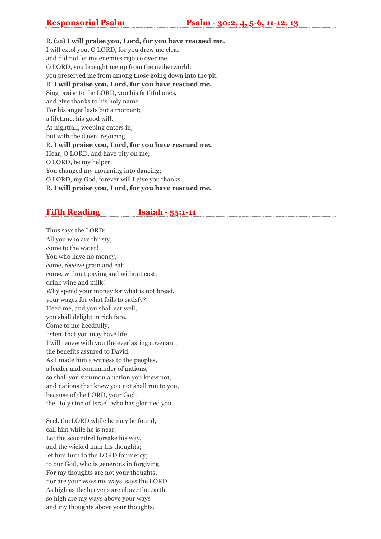R. (2a) **I will praise you, Lord, for you have rescued me.** I will extol you, O LORD, for you drew me clear and did not let my enemies rejoice over me. O LORD, you brought me up from the netherworld; you preserved me from among those going down into the pit. R. **I will praise you, Lord, for you have rescued me.** Sing praise to the LORD, you his faithful ones, and give thanks to his holy name. For his anger lasts but a moment; a lifetime, his good will. At nightfall, weeping enters in, but with the dawn, rejoicing. R. **I will praise you, Lord, for you have rescued me.** Hear, O LORD, and have pity on me; O LORD, be my helper. You changed my mourning into dancing; O LORD, my God, forever will I give you thanks. R. **I will praise you, Lord, for you have rescued me.**

### **Fifth Reading Isaiah - 55:1-11**

Thus says the LORD: All you who are thirsty, come to the water! You who have no money, come, receive grain and eat; come, without paying and without cost, drink wine and milk! Why spend your money for what is not bread, your wages for what fails to satisfy? Heed me, and you shall eat well, you shall delight in rich fare. Come to me heedfully, listen, that you may have life. I will renew with you the everlasting covenant, the benefits assured to David. As I made him a witness to the peoples, a leader and commander of nations, so shall you summon a nation you knew not, and nations that knew you not shall run to you, because of the LORD, your God, the Holy One of Israel, who has glorified you.

Seek the LORD while he may be found, call him while he is near. Let the scoundrel forsake his way, and the wicked man his thoughts; let him turn to the LORD for mercy; to our God, who is generous in forgiving. For my thoughts are not your thoughts, nor are your ways my ways, says the LORD. As high as the heavens are above the earth, so high are my ways above your ways and my thoughts above your thoughts.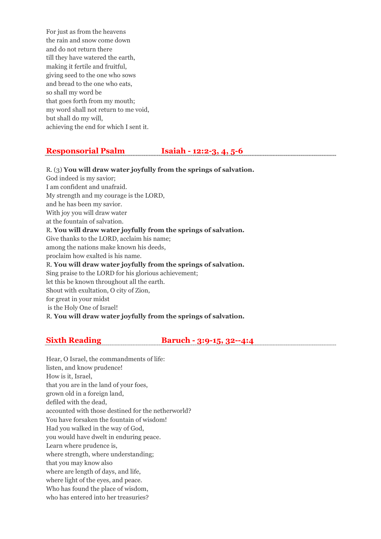For just as from the heavens the rain and snow come down and do not return there till they have watered the earth, making it fertile and fruitful, giving seed to the one who sows and bread to the one who eats, so shall my word be that goes forth from my mouth; my word shall not return to me void, but shall do my will, achieving the end for which I sent it.

### **Responsorial Psalm Isaiah - 12:2-3, 4, 5-6**

R. (3) **You will draw water joyfully from the springs of salvation.** God indeed is my savior; I am confident and unafraid. My strength and my courage is the LORD, and he has been my savior. With joy you will draw water at the fountain of salvation. R. **You will draw water joyfully from the springs of salvation.** Give thanks to the LORD, acclaim his name; among the nations make known his deeds, proclaim how exalted is his name. R. **You will draw water joyfully from the springs of salvation.** Sing praise to the LORD for his glorious achievement; let this be known throughout all the earth. Shout with exultation, O city of Zion, for great in your midst is the Holy One of Israel! R. **You will draw water joyfully from the springs of salvation.**

**Sixth Reading Baruch - 3:9-15, 32--4:4** 

Hear, O Israel, the commandments of life: listen, and know prudence! How is it, Israel, that you are in the land of your foes, grown old in a foreign land, defiled with the dead, accounted with those destined for the netherworld? You have forsaken the fountain of wisdom! Had you walked in the way of God, you would have dwelt in enduring peace. Learn where prudence is, where strength, where understanding; that you may know also where are length of days, and life, where light of the eyes, and peace. Who has found the place of wisdom, who has entered into her treasuries?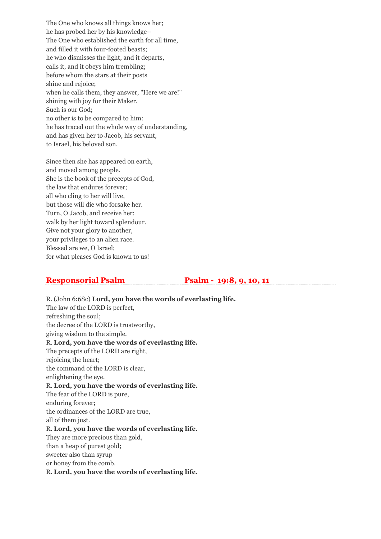The One who knows all things knows her; he has probed her by his knowledge-- The One who established the earth for all time, and filled it with four-footed beasts; he who dismisses the light, and it departs, calls it, and it obeys him trembling; before whom the stars at their posts shine and rejoice; when he calls them, they answer, "Here we are!" shining with joy for their Maker. Such is our God; no other is to be compared to him: he has traced out the whole way of understanding, and has given her to Jacob, his servant, to Israel, his beloved son.

Since then she has appeared on earth, and moved among people. She is the book of the precepts of God, the law that endures forever; all who cling to her will live, but those will die who forsake her. Turn, O Jacob, and receive her: walk by her light toward splendour. Give not your glory to another, your privileges to an alien race. Blessed are we, O Israel; for what pleases God is known to us!

### **Responsorial Psalm Psalm - 19:8, 9, 10, 11**

R. (John 6:68c) **Lord, you have the words of everlasting life.** The law of the LORD is perfect, refreshing the soul; the decree of the LORD is trustworthy, giving wisdom to the simple. R. **Lord, you have the words of everlasting life.** The precepts of the LORD are right, rejoicing the heart; the command of the LORD is clear, enlightening the eye. R. **Lord, you have the words of everlasting life.** The fear of the LORD is pure, enduring forever; the ordinances of the LORD are true, all of them just. R. **Lord, you have the words of everlasting life.** They are more precious than gold, than a heap of purest gold; sweeter also than syrup or honey from the comb. R. **Lord, you have the words of everlasting life.**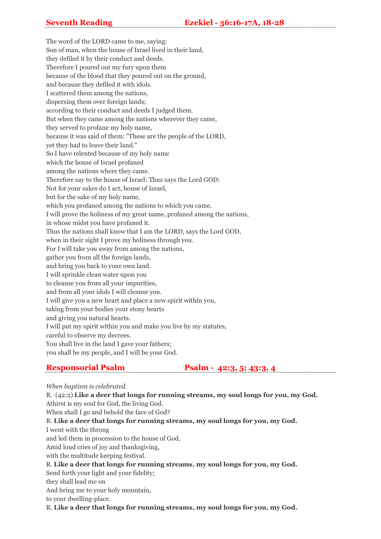The word of the LORD came to me, saying: Son of man, when the house of Israel lived in their land, they defiled it by their conduct and deeds. Therefore I poured out my fury upon them because of the blood that they poured out on the ground, and because they defiled it with idols. I scattered them among the nations, dispersing them over foreign lands; according to their conduct and deeds I judged them. But when they came among the nations wherever they came, they served to profane my holy name, because it was said of them: "These are the people of the LORD, yet they had to leave their land." So I have relented because of my holy name which the house of Israel profaned among the nations where they came. Therefore say to the house of Israel: Thus says the Lord GOD: Not for your sakes do I act, house of Israel, but for the sake of my holy name, which you profaned among the nations to which you came. I will prove the holiness of my great name, profaned among the nations, in whose midst you have profaned it. Thus the nations shall know that I am the LORD, says the Lord GOD, when in their sight I prove my holiness through you. For I will take you away from among the nations, gather you from all the foreign lands, and bring you back to your own land. I will sprinkle clean water upon you to cleanse you from all your impurities, and from all your idols I will cleanse you. I will give you a new heart and place a new spirit within you, taking from your bodies your stony hearts and giving you natural hearts. I will put my spirit within you and make you live by my statutes, careful to observe my decrees. You shall live in the land I gave your fathers; you shall be my people, and I will be your God.

# **Responsorial Psalm Psalm - 42:3, 5; 43:3, 4**

*When baptism is celebrated.* R. (42:2) **Like a deer that longs for running streams, my soul longs for you, my God.** Athirst is my soul for God, the living God. When shall I go and behold the face of God? R. **Like a deer that longs for running streams, my soul longs for you, my God.** I went with the throng and led them in procession to the house of God, Amid loud cries of joy and thanksgiving, with the multitude keeping festival. R. **Like a deer that longs for running streams, my soul longs for you, my God.** Send forth your light and your fidelity; they shall lead me on And bring me to your holy mountain, to your dwelling-place. R. **Like a deer that longs for running streams, my soul longs for you, my God.**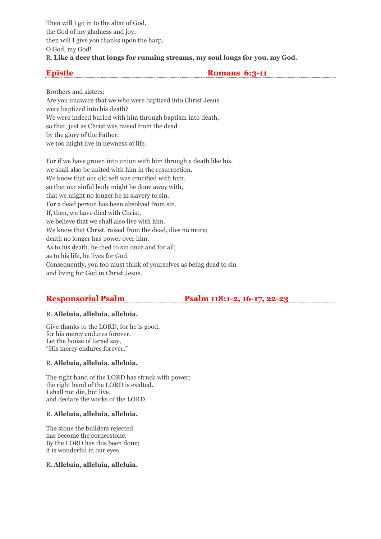Then will I go in to the altar of God, the God of my gladness and joy; then will I give you thanks upon the harp, O God, my God! R. **Like a deer that longs for running streams, my soul longs for you, my God.**

**Epistle Romans 6:3-11** 

Brothers and sisters: Are you unaware that we who were baptized into Christ Jesus were baptized into his death? We were indeed buried with him through baptism into death, so that, just as Christ was raised from the dead by the glory of the Father, we too might live in newness of life.

For if we have grown into union with him through a death like his, we shall also be united with him in the resurrection. We know that our old self was crucified with him, so that our sinful body might be done away with, that we might no longer be in slavery to sin. For a dead person has been absolved from sin. If, then, we have died with Christ, we believe that we shall also live with him. We know that Christ, raised from the dead, dies no more; death no longer has power over him. As to his death, he died to sin once and for all; as to his life, he lives for God. Consequently, you too must think of yourselves as being dead to sin and living for God in Christ Jesus.

# **Responsorial Psalm Psalm 118:1-2, 16-17, 22-23**

### R. **Alleluia, alleluia, alleluia.**

Give thanks to the LORD, for he is good, for his mercy endures forever. Let the house of Israel say, "His mercy endures forever."

#### R. **Alleluia, alleluia, alleluia.**

The right hand of the LORD has struck with power; the right hand of the LORD is exalted. I shall not die, but live, and declare the works of the LORD.

#### R. **Alleluia, alleluia, alleluia.**

The stone the builders rejected has become the cornerstone. By the LORD has this been done; it is wonderful in our eyes.

### R. **Alleluia, alleluia, alleluia.**